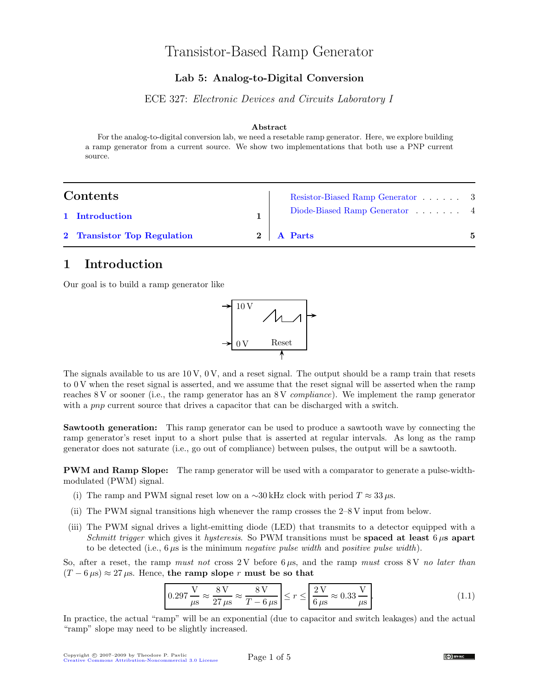# Transistor-Based Ramp Generator

#### Lab 5: Analog-to-Digital Conversion

ECE 327: Electronic Devices and Circuits Laboratory I

#### Abstract

For the analog-to-digital conversion lab, we need a resetable ramp generator. Here, we explore building a ramp generator from a current source. We show two implementations that both use a PNP current source.

### $Cor$

| Contents                    | Resistor-Biased Ramp Generator 3 |  |
|-----------------------------|----------------------------------|--|
| 1 Introduction              | Diode-Biased Ramp Generator 4    |  |
| 2 Transistor Top Regulation | 2   A Parts                      |  |

#### <span id="page-0-0"></span>1 Introduction

Our goal is to build a ramp generator like



The signals available to us are  $10 \text{ V}$ ,  $0 \text{ V}$ , and a reset signal. The output should be a ramp train that resets to 0 V when the reset signal is asserted, and we assume that the reset signal will be asserted when the ramp reaches 8 V or sooner (i.e., the ramp generator has an 8 V compliance). We implement the ramp generator with a *pnp* current source that drives a capacitor that can be discharged with a switch.

Sawtooth generation: This ramp generator can be used to produce a sawtooth wave by connecting the ramp generator's reset input to a short pulse that is asserted at regular intervals. As long as the ramp generator does not saturate (i.e., go out of compliance) between pulses, the output will be a sawtooth.

PWM and Ramp Slope: The ramp generator will be used with a comparator to generate a pulse-widthmodulated (PWM) signal.

- (i) The ramp and PWM signal reset low on a ∼30 kHz clock with period  $T \approx 33 \,\mu s$ .
- (ii) The PWM signal transitions high whenever the ramp crosses the 2–8 V input from below.
- (iii) The PWM signal drives a light-emitting diode (LED) that transmits to a detector equipped with a Schmitt trigger which gives it hysteresis. So PWM transitions must be **spaced at least**  $6 \mu s$  apart to be detected (i.e.,  $6 \mu s$  is the minimum *negative pulse width* and *positive pulse width*).

So, after a reset, the ramp must not cross 2V before  $6 \mu s$ , and the ramp must cross 8V no later than  $(T - 6 \,\mu s) \approx 27 \,\mu s$ . Hence, the ramp slope r must be so that

<span id="page-0-1"></span>
$$
0.297 \frac{V}{\mu s} \approx \frac{8 V}{27 \mu s} \approx \frac{8 V}{T - 6 \mu s} \le r \le \frac{2 V}{6 \mu s} \approx 0.33 \frac{V}{\mu s}.
$$
\n(1.1)

In practice, the actual "ramp" will be an exponential (due to capacitor and switch leakages) and the actual "ramp" slope may need to be slightly increased.

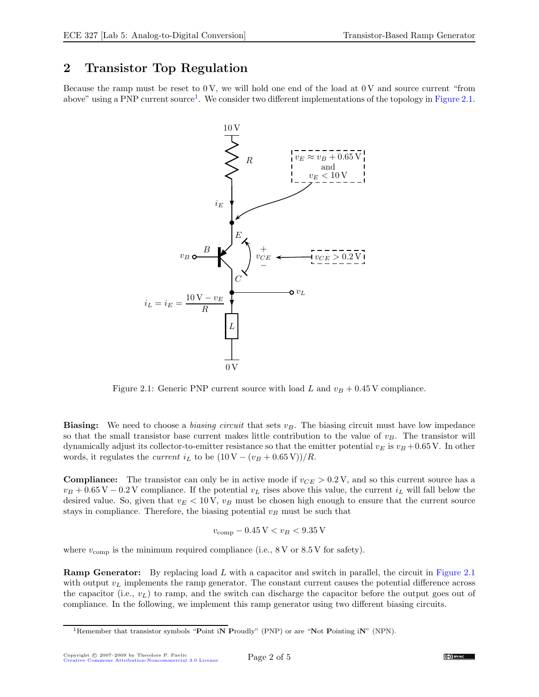## <span id="page-1-0"></span>2 Transistor Top Regulation

Because the ramp must be reset to  $0 \text{ V}$ , we will hold one end of the load at  $0 \text{ V}$  and source current "from above" using a PNP current source<sup>[1](#page-1-1)</sup>. We consider two different implementations of the topology in [Figure 2.1.](#page-1-2)



<span id="page-1-2"></span>Figure 2.1: Generic PNP current source with load L and  $v_B + 0.45$  V compliance.

**Biasing:** We need to choose a *biasing circuit* that sets  $v_B$ . The biasing circuit must have low impedance so that the small transistor base current makes little contribution to the value of  $v_B$ . The transistor will dynamically adjust its collector-to-emitter resistance so that the emitter potential  $v_E$  is  $v_B + 0.65$  V. In other words, it regulates the *current*  $i_L$  to be  $(10 V - (v_B + 0.65 V))/R$ .

**Compliance:** The transistor can only be in active mode if  $v_{CE} > 0.2$  V, and so this current source has a  $v_B + 0.65 \text{ V} - 0.2 \text{ V}$  compliance. If the potential  $v_L$  rises above this value, the current  $i_L$  will fall below the desired value. So, given that  $v_E < 10 \text{ V}$ ,  $v_B$  must be chosen high enough to ensure that the current source stays in compliance. Therefore, the biasing potential  $v_B$  must be such that

$$
v_{\rm comp} - 0.45\,\mathrm{V} < v_B < 9.35\,\mathrm{V}
$$

where  $v_{\text{comp}}$  is the minimum required compliance (i.e., 8 V or 8.5 V for safety).

**Ramp Generator:** By replacing load L with a capacitor and switch in parallel, the circuit in [Figure 2.1](#page-1-2) with output  $v<sub>L</sub>$  implements the ramp generator. The constant current causes the potential difference across the capacitor (i.e.,  $v_L$ ) to ramp, and the switch can discharge the capacitor before the output goes out of compliance. In the following, we implement this ramp generator using two different biasing circuits.

<span id="page-1-1"></span><sup>&</sup>lt;sup>1</sup>Remember that transistor symbols "Point iN Proudly" (PNP) or are "Not Pointing iN" (NPN).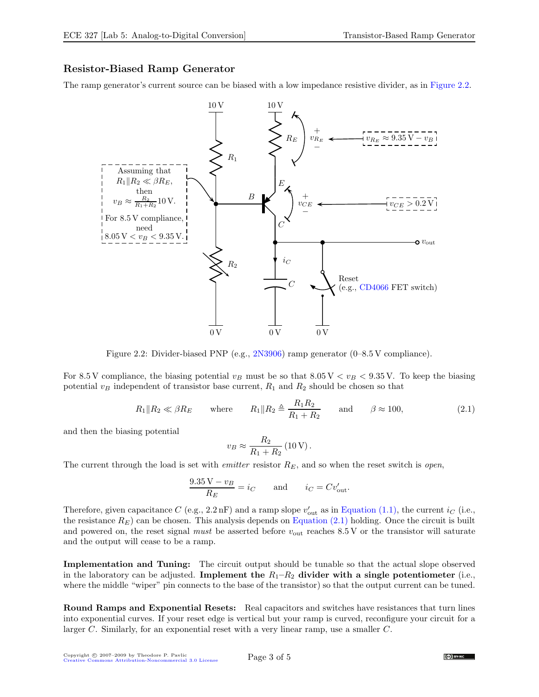#### <span id="page-2-0"></span>Resistor-Biased Ramp Generator

The ramp generator's current source can be biased with a low impedance resistive divider, as in [Figure 2.2.](#page-2-1)



Figure 2.2: Divider-biased PNP (e.g., [2N3906\)](http://www.fairchildsemi.com/ds/2N/2N3906.pdf) ramp generator (0–8.5 V compliance).

For 8.5 V compliance, the biasing potential  $v_B$  must be so that 8.05 V  $\lt v_B \lt 9.35$  V. To keep the biasing potential  $v_B$  independent of transistor base current,  $R_1$  and  $R_2$  should be chosen so that

<span id="page-2-2"></span><span id="page-2-1"></span>
$$
R_1 \| R_2 \ll \beta R_E
$$
 where  $R_1 \| R_2 \triangleq \frac{R_1 R_2}{R_1 + R_2}$  and  $\beta \approx 100$ , (2.1)

and then the biasing potential

$$
v_B \approx \frac{R_2}{R_1 + R_2} (10 \,\text{V}).
$$

The current through the load is set with *emitter* resistor  $R_E$ , and so when the reset switch is *open*,

$$
\frac{9.35 \text{ V} - v_B}{R_E} = i_C \quad \text{and} \quad i_C = Cv_{\text{out}}'.
$$

Therefore, given capacitance C (e.g., 2.2 nF) and a ramp slope  $v'_{\text{out}}$  as in [Equation \(1.1\),](#page-0-1) the current  $i_C$  (i.e., the resistance  $R_E$ ) can be chosen. This analysis depends on [Equation \(2.1\)](#page-2-2) holding. Once the circuit is built and powered on, the reset signal must be asserted before  $v_{\text{out}}$  reaches 8.5 V or the transistor will saturate and the output will cease to be a ramp.

Implementation and Tuning: The circuit output should be tunable so that the actual slope observed in the laboratory can be adjusted. Implement the  $R_1-R_2$  divider with a single potentiometer (i.e., where the middle "wiper" pin connects to the base of the transistor) so that the output current can be tuned.

Round Ramps and Exponential Resets: Real capacitors and switches have resistances that turn lines into exponential curves. If your reset edge is vertical but your ramp is curved, reconfigure your circuit for a larger C. Similarly, for an exponential reset with a very linear ramp, use a smaller C.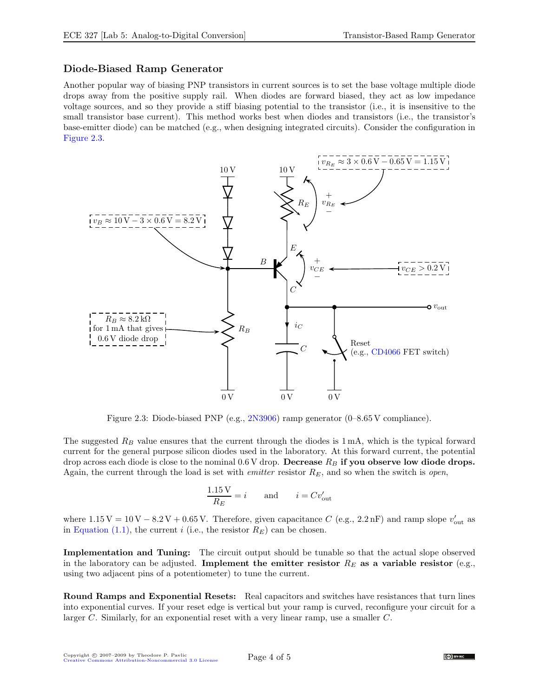#### <span id="page-3-0"></span>Diode-Biased Ramp Generator

Another popular way of biasing PNP transistors in current sources is to set the base voltage multiple diode drops away from the positive supply rail. When diodes are forward biased, they act as low impedance voltage sources, and so they provide a stiff biasing potential to the transistor (i.e., it is insensitive to the small transistor base current). This method works best when diodes and transistors (i.e., the transistor's base-emitter diode) can be matched (e.g., when designing integrated circuits). Consider the configuration in [Figure 2.3.](#page-3-1)



<span id="page-3-1"></span>Figure 2.3: Diode-biased PNP (e.g., [2N3906\)](http://www.fairchildsemi.com/ds/2N/2N3906.pdf) ramp generator (0–8.65 V compliance).

The suggested  $R_B$  value ensures that the current through the diodes is 1 mA, which is the typical forward current for the general purpose silicon diodes used in the laboratory. At this forward current, the potential drop across each diode is close to the nominal  $0.6$  V drop. Decrease  $R_B$  if you observe low diode drops. Again, the current through the load is set with *emitter* resistor  $R_E$ , and so when the switch is *open*,

$$
\frac{1.15 \text{ V}}{R_E} = i \quad \text{and} \quad i = Cv_{\text{out}}'
$$

where  $1.15\,\text{V} = 10\,\text{V} - 8.2\,\text{V} + 0.65\,\text{V}$ . Therefore, given capacitance C (e.g., 2.2 nF) and ramp slope  $v_{\text{out}}'$  as in [Equation \(1.1\),](#page-0-1) the current i (i.e., the resistor  $R_E$ ) can be chosen.

Implementation and Tuning: The circuit output should be tunable so that the actual slope observed in the laboratory can be adjusted. Implement the emitter resistor  $R_E$  as a variable resistor (e.g., using two adjacent pins of a potentiometer) to tune the current.

Round Ramps and Exponential Resets: Real capacitors and switches have resistances that turn lines into exponential curves. If your reset edge is vertical but your ramp is curved, reconfigure your circuit for a larger C. Similarly, for an exponential reset with a very linear ramp, use a smaller C.